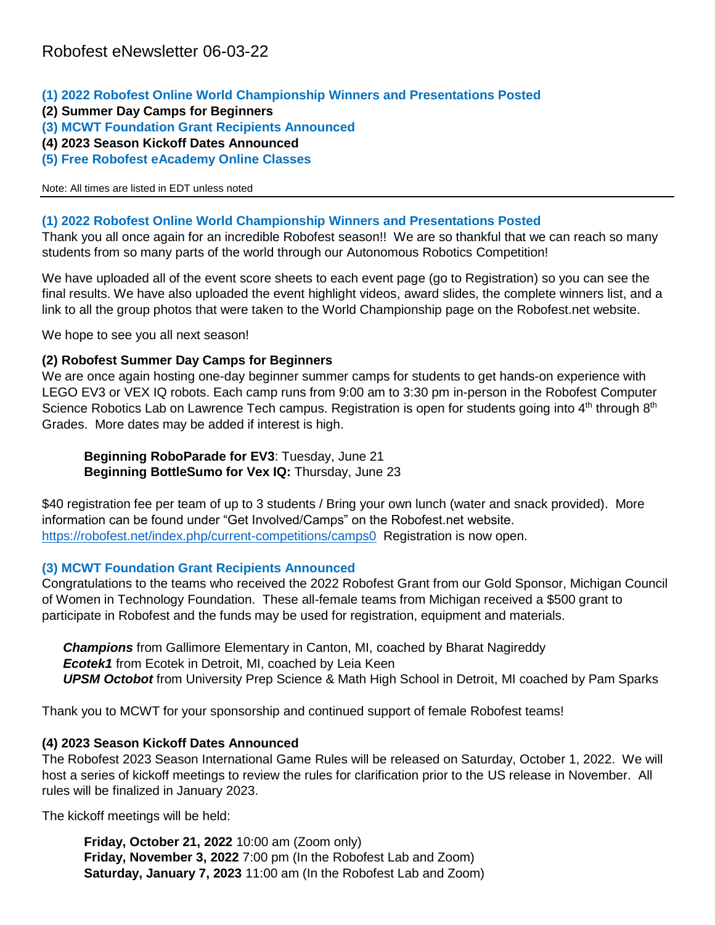- **(1) 2022 Robofest Online World Championship Winners and Presentations Posted**
- **(2) Summer Day Camps for Beginners**
- **(3) MCWT Foundation Grant Recipients Announced**
- **(4) 2023 Season Kickoff Dates Announced**
- **(5) Free Robofest eAcademy Online Classes**

Note: All times are listed in EDT unless noted

#### **(1) 2022 Robofest Online World Championship Winners and Presentations Posted**

Thank you all once again for an incredible Robofest season!! We are so thankful that we can reach so many students from so many parts of the world through our Autonomous Robotics Competition!

We have uploaded all of the event score sheets to each event page (go to Registration) so you can see the final results. We have also uploaded the event highlight videos, award slides, the complete winners list, and a link to all the group photos that were taken to the World Championship page on the Robofest.net website.

We hope to see you all next season!

#### **(2) Robofest Summer Day Camps for Beginners**

We are once again hosting one-day beginner summer camps for students to get hands-on experience with LEGO EV3 or VEX IQ robots. Each camp runs from 9:00 am to 3:30 pm in-person in the Robofest Computer Science Robotics Lab on Lawrence Tech campus. Registration is open for students going into 4<sup>th</sup> through 8<sup>th</sup> Grades. More dates may be added if interest is high.

**Beginning RoboParade for EV3**: Tuesday, June 21 **Beginning BottleSumo for Vex IQ:** Thursday, June 23

\$40 registration fee per team of up to 3 students / Bring your own lunch (water and snack provided). More information can be found under "Get Involved/Camps" on the Robofest.net website. <https://robofest.net/index.php/current-competitions/camps0>Registration is now open.

# **(3) MCWT Foundation Grant Recipients Announced**

Congratulations to the teams who received the 2022 Robofest Grant from our Gold Sponsor, Michigan Council of Women in Technology Foundation. These all-female teams from Michigan received a \$500 grant to participate in Robofest and the funds may be used for registration, equipment and materials.

*Champions* from Gallimore Elementary in Canton, MI, coached by Bharat Nagireddy *Ecotek1* from Ecotek in Detroit, MI, coached by Leia Keen *UPSM Octobot* from University Prep Science & Math High School in Detroit, MI coached by Pam Sparks

Thank you to MCWT for your sponsorship and continued support of female Robofest teams!

# **(4) 2023 Season Kickoff Dates Announced**

The Robofest 2023 Season International Game Rules will be released on Saturday, October 1, 2022. We will host a series of kickoff meetings to review the rules for clarification prior to the US release in November. All rules will be finalized in January 2023.

The kickoff meetings will be held:

**Friday, October 21, 2022** 10:00 am (Zoom only) **Friday, November 3, 2022** 7:00 pm (In the Robofest Lab and Zoom) **Saturday, January 7, 2023** 11:00 am (In the Robofest Lab and Zoom)